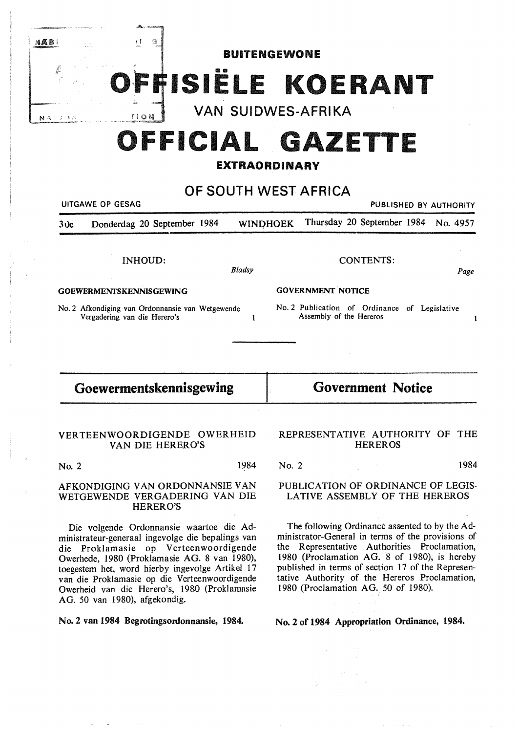|       |                                         | ക്കും തുടങ്ങ                                                                     |                           |                                                                          |      |
|-------|-----------------------------------------|----------------------------------------------------------------------------------|---------------------------|--------------------------------------------------------------------------|------|
| nas i |                                         | 主要<br>G                                                                          | <b>BUITENGEWONE</b>       |                                                                          |      |
|       |                                         |                                                                                  |                           | OFFISIELE KOERANT                                                        |      |
|       | $N A$ <sup>-7</sup> ; $\rightarrow$ $N$ | TION                                                                             | <b>VAN SUIDWES-AFRIKA</b> |                                                                          |      |
|       |                                         |                                                                                  |                           | OFFICIAL GAZETTE                                                         |      |
|       |                                         |                                                                                  | <b>EXTRAORDINARY</b>      |                                                                          |      |
|       |                                         |                                                                                  |                           |                                                                          |      |
|       |                                         | OF SOUTH WEST AFRICA<br>UITGAWE OP GESAG<br>PUBLISHED BY AUTHORITY               |                           |                                                                          |      |
|       | 30c                                     | Donderdag 20 September 1984                                                      | <b>WINDHOEK</b>           | Thursday 20 September 1984 No. 4957                                      |      |
|       |                                         |                                                                                  |                           |                                                                          |      |
|       |                                         | <b>INHOUD:</b>                                                                   |                           | <b>CONTENTS:</b>                                                         |      |
|       |                                         |                                                                                  | Bladsy                    |                                                                          | Page |
|       |                                         | <b>GOEWERMENTSKENNISGEWING</b>                                                   |                           | <b>GOVERNMENT NOTICE</b>                                                 |      |
|       |                                         | No. 2 Afkondiging van Ordonnansie van Wetgewende<br>Vergadering van die Herero's |                           | No. 2 Publication of Ordinance of Legislative<br>Assembly of the Hereros |      |

# **Goewermentskennisgewing**

**Government Notice** 

## VERTEENWOORDIGENDE OWERHEID VAN DIE HERERO'S

No. 2 1984

#### AFKONDIGING VAN ORDONNANSIE VAN WETGEWENDE VERGADERING VAN DIE HERERO'S

Die volgende Ordonnansie waartoe die Administrateur-generaal ingevolge die bepalings van die Proklamasie op Verteenwoordigende Owerhede, 1980 (Proklamasie AG. 8 van 1980), toegestem het, word hierby ingevolge Artikel 17 van die Proklamasie op die Verteenwoordigende Owerheid van die Herero's, 1980 (Proklamasie AG. 50 van 1980), afgekondig.

No. 2 van 1984 Begrotingsordonnansie, 1984.

### REPRESENTATIVE AUTHORITY OF THE **HEREROS**

No. 2 1984

### PUBLICATION OF ORDINANCE OF LEGIS-LATIVE ASSEMBLY OF THE HEREROS

The following Ordinance assented to by the Administrator-General in terms of the provisions of the Representative Authorities Proclamation, 1980 (Proclamation AG. 8 of 1980), is hereby published in terms of section 17 of the Representative Authority of the Hereros Proclamation, 1980 (Proclamation AG. 50 of 1980).

**No. 2 of 1984 Appropriation Ordinance, 1984.**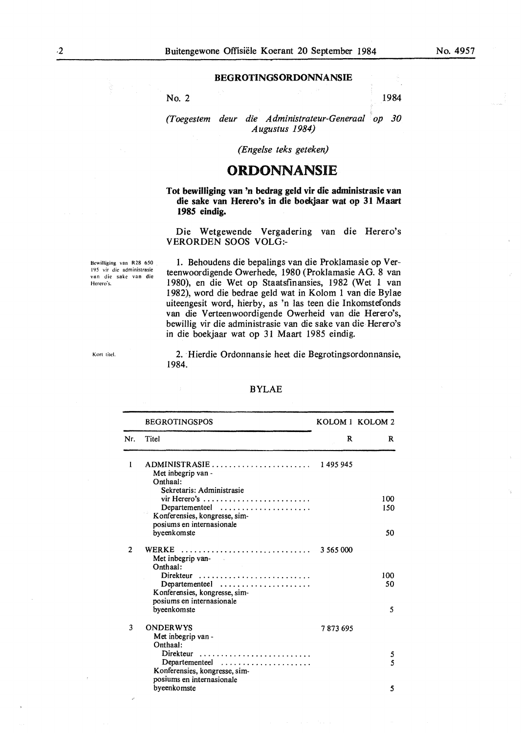### **BEGROTINGSORDONNANSIE**

No. 2 1984

*(Toegestem deur die Administrateur-Generaal op 30 Augustus 1984)* 

*(Engelse teks geteken)* 

## **ORDONNANSIE**

#### **Tot bewilliging van 'n bedrag geld vir die administrasie van die sake van Herero's in die boekjaar wat op 31 Maart 1985 eindig.**

Die Wetgewende Vergadering van die Herero's VERORDEN SOOS VOLG:-

Bewilliging van R28 650 195 vir die administrasie van die sake van die Herero's.

1. Behoudens die bepalings van die Proklamasie op Verteenwoordigende Owerhede, 1980 (Proklamasie AG. 8 van 1980), en die Wet op Staatsfinansies, 1982 (Wet 1 van 1982), word die bedrae geld wat in Kolom 1 van die Bylae uiteengesit word, hierby, as 'n las teen die Inkomstefonds van die Verteenwoordigende Owerheid van die Herero's, bewillig vir die administrasie van die sake van die Herero's in die boekjaar wat op 31 Maart 1985 eindig.

Kort titel. 2. Hierdie Ordonnansie heet die Begrotingsordonnansie, 1984.

|                | <b>BEGROTINGSPOS</b>                                                                                                            |           | KOLOM 1 KOLOM 2<br>R |
|----------------|---------------------------------------------------------------------------------------------------------------------------------|-----------|----------------------|
| Nr.            | Titel                                                                                                                           | R         |                      |
| 1              | $ADMINISTRASIE \ldots \ldots \ldots \ldots \ldots \ldots \ldots$<br>Met inbegrip van -<br>Onthaal:<br>Sekretaris: Administrasie | 1495945   |                      |
|                | vir Herero's<br>Departementeel $\ldots, \ldots, \ldots, \ldots, \ldots$<br>Konferensies, kongresse, sim-                        |           | 100<br>150           |
|                | posiums en internasionale<br>byeenkomste                                                                                        |           | 50                   |
| $\overline{2}$ | WERKE<br>Met inbegrip van-<br>Onthaal:                                                                                          | 3 565 000 |                      |
|                | Departementeel<br>Konferensies, kongresse, sim-<br>posiums en internasionale                                                    |           | 100<br>50            |
|                | byeenkomste                                                                                                                     |           | 5                    |
| 3              | <b>ONDERWYS</b><br>Met inbegrip van -<br>Onthaal:                                                                               | 7873695   |                      |
|                | Direkteur<br>Departementeel<br>Konferensies, kongresse, sim-                                                                    |           | 5<br>5               |
|                | posiums en internasionale<br>byeenkomste                                                                                        |           | 5                    |

#### BYLAE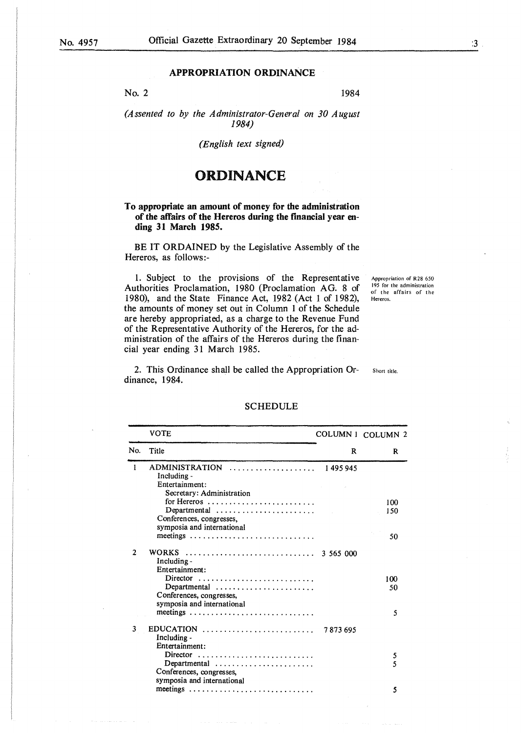#### **APPROPRIATION ORDINANCE**

No. 2

1984

(Assented to by the Administrator-General on 30 August 1984)

(English text signed)

## **ORDINANCE**

#### To appropriate an amount of money for the administration of the affairs of the Hereros during the financial year ending 31 March 1985.

BE IT ORDAINED by the Legislative Assembly of the Hereros, as follows:-

1. Subject to the provisions of the Representative Authorities Proclamation, 1980 (Proclamation AG. 8 of 1980), and the State Finance Act, 1982 (Act 1 of 1982), the amounts of money set out in Column 1 of the Schedule are hereby appropriated, as a charge to the Revenue Fund of the Representative Authority of the Hereros, for the administration of the affairs of the Hereros during the financial year ending 31 March 1985.

Appropriation of R28 650 195 for the administration<br>of the affairs of the Hereros.

2. This Ordinance shall be called the Appropriation Ordinance, 1984.

Short title

### **SCHEDULE**

| <b>VOTE</b>                                                    |                                                                                                                                                                                                                                                               | COLUMN 1 COLUMN 2                                                                                                 |
|----------------------------------------------------------------|---------------------------------------------------------------------------------------------------------------------------------------------------------------------------------------------------------------------------------------------------------------|-------------------------------------------------------------------------------------------------------------------|
| Title                                                          | R                                                                                                                                                                                                                                                             | R                                                                                                                 |
|                                                                | 1 495 945                                                                                                                                                                                                                                                     |                                                                                                                   |
|                                                                |                                                                                                                                                                                                                                                               |                                                                                                                   |
|                                                                |                                                                                                                                                                                                                                                               |                                                                                                                   |
|                                                                |                                                                                                                                                                                                                                                               |                                                                                                                   |
|                                                                |                                                                                                                                                                                                                                                               | 100                                                                                                               |
|                                                                |                                                                                                                                                                                                                                                               | 150                                                                                                               |
|                                                                |                                                                                                                                                                                                                                                               |                                                                                                                   |
|                                                                |                                                                                                                                                                                                                                                               |                                                                                                                   |
|                                                                |                                                                                                                                                                                                                                                               | 50                                                                                                                |
|                                                                |                                                                                                                                                                                                                                                               |                                                                                                                   |
| Including -                                                    |                                                                                                                                                                                                                                                               |                                                                                                                   |
| Entertainment:                                                 |                                                                                                                                                                                                                                                               |                                                                                                                   |
| Director                                                       |                                                                                                                                                                                                                                                               | 100                                                                                                               |
| $Department 1 \dots \dots \dots \dots \dots \dots \dots \dots$ |                                                                                                                                                                                                                                                               | 50                                                                                                                |
|                                                                |                                                                                                                                                                                                                                                               |                                                                                                                   |
|                                                                |                                                                                                                                                                                                                                                               |                                                                                                                   |
|                                                                |                                                                                                                                                                                                                                                               | 5                                                                                                                 |
|                                                                |                                                                                                                                                                                                                                                               |                                                                                                                   |
|                                                                |                                                                                                                                                                                                                                                               |                                                                                                                   |
|                                                                |                                                                                                                                                                                                                                                               |                                                                                                                   |
| Director                                                       |                                                                                                                                                                                                                                                               | 5                                                                                                                 |
|                                                                |                                                                                                                                                                                                                                                               | 5                                                                                                                 |
| Conferences, congresses.                                       |                                                                                                                                                                                                                                                               |                                                                                                                   |
|                                                                |                                                                                                                                                                                                                                                               |                                                                                                                   |
|                                                                |                                                                                                                                                                                                                                                               | 5                                                                                                                 |
|                                                                | Including -<br>Entertainment:<br>Secretary: Administration<br>Conferences, congresses.<br>symposia and international<br>Conferences, congresses,<br>symposia and international<br>Including -<br>Entertainment:<br>Departmental<br>symposia and international | ADMINISTRATION<br>for Hereros<br>$Department 1 \dots \dots \dots \dots \dots \dots \dots$<br>EDUCATION<br>7873695 |

 $\ddot{\mathbf{3}}$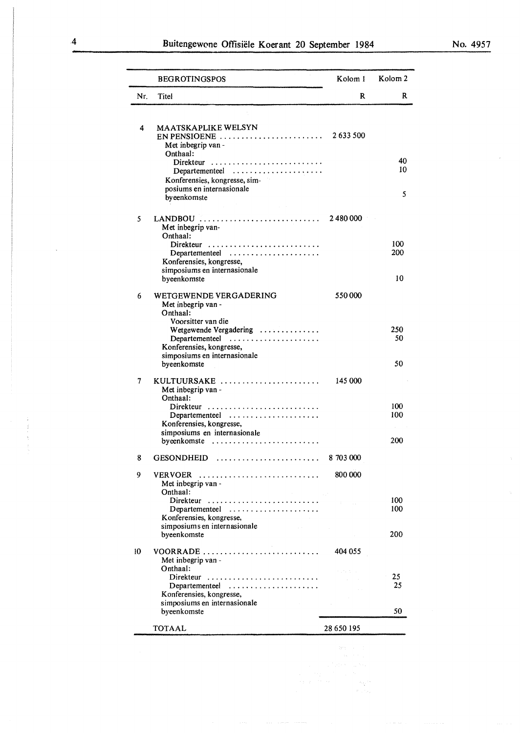| No. 4957 |  |  |
|----------|--|--|
|----------|--|--|

|                 | <b>BEGROTINGSPOS</b>                                                                    | Kolom 1           | Kolom <sub>2</sub> |
|-----------------|-----------------------------------------------------------------------------------------|-------------------|--------------------|
| Nr.             | Titel                                                                                   | R                 | R                  |
|                 |                                                                                         |                   |                    |
| 4               | <b>MAATSKAPLIKE WELSYN</b>                                                              |                   |                    |
|                 | $EN$ PENSIOENE $\ldots \ldots \ldots \ldots \ldots \ldots \ldots$                       | 2633500           |                    |
|                 | Met inbegrip van -<br>Onthaal:                                                          |                   |                    |
|                 | Direkteur                                                                               |                   | 40                 |
|                 | Departementeel                                                                          |                   | 10                 |
|                 | Konferensies, kongresse, sim-                                                           |                   |                    |
|                 | posiums en internasionale<br>byeenkomste                                                |                   | 5                  |
|                 |                                                                                         |                   |                    |
| 5               | LANDBOU                                                                                 | 2 480 000         |                    |
|                 | Met inbegrip van-                                                                       |                   |                    |
|                 | Onthaal:                                                                                |                   | 100                |
|                 | Departementeel                                                                          |                   | 200                |
|                 | Konferensies, kongresse,                                                                |                   |                    |
|                 | simposiums en internasionale                                                            |                   | 10                 |
|                 | byeenkomste                                                                             |                   |                    |
| 6               | WETGEWENDE VERGADERING                                                                  | 550000            |                    |
|                 | Met inbegrip van -                                                                      |                   |                    |
|                 | Onthaal:<br>Voorsitter van die                                                          |                   |                    |
|                 | Wetgewende Vergadering                                                                  |                   | 250                |
|                 | $Departmente$ $\ldots$ $\dots$                                                          |                   | 50                 |
|                 | Konferensies, kongresse,<br>simposiums en internasionale                                |                   |                    |
|                 | byeenkomste                                                                             |                   | 50                 |
|                 |                                                                                         |                   |                    |
| 7               | KULTUURSAKE<br>Met inbegrip van -                                                       | 145 000           |                    |
|                 | Onthaal:                                                                                |                   |                    |
|                 |                                                                                         |                   | 100                |
|                 | Departementeel<br>Konferensies, kongresse,                                              |                   | 100                |
|                 | simposiums en internasionale                                                            |                   |                    |
|                 | byeenkomste $\ldots \ldots \ldots \ldots \ldots \ldots \ldots$                          |                   | 200                |
| 8               | <b>GESONDHEID</b>                                                                       | 8 703 000         |                    |
|                 |                                                                                         |                   |                    |
| 9               | VERVOER                                                                                 | 800 000           |                    |
|                 | Met inbegrip van -<br>Onthaal:                                                          |                   |                    |
|                 | Direkteur                                                                               | <b>Controller</b> | 100                |
|                 | Departementeel                                                                          |                   | 100                |
|                 | Konferensies, kongresse,<br>simposiums en internasionale                                |                   |                    |
|                 | $\mathcal{A}$ and $\mathcal{A}$ are $\mathcal{A}$ . In the $\mathcal{A}$<br>byeenkomste |                   | 200                |
|                 |                                                                                         |                   |                    |
| 10 <sup>°</sup> | VOORRADE                                                                                | 404 055           |                    |
|                 | Met inbegrip van -<br>Onthaal:                                                          | Service State     |                    |
|                 | Direkteur                                                                               |                   | 25                 |
|                 | Departementeel                                                                          |                   | 25                 |
|                 | Konferensies, kongresse,<br>simposiums en internasionale                                |                   |                    |
|                 | byeenkomste                                                                             |                   | 50                 |
|                 |                                                                                         |                   |                    |
|                 | <b>TOTAAL</b>                                                                           | 28 650 195        |                    |

 $\mathbb{S}_{\mathbb{Z}_p^{(1)}}$ 

 $\bar{z}$ 

 $\frac{1}{2}$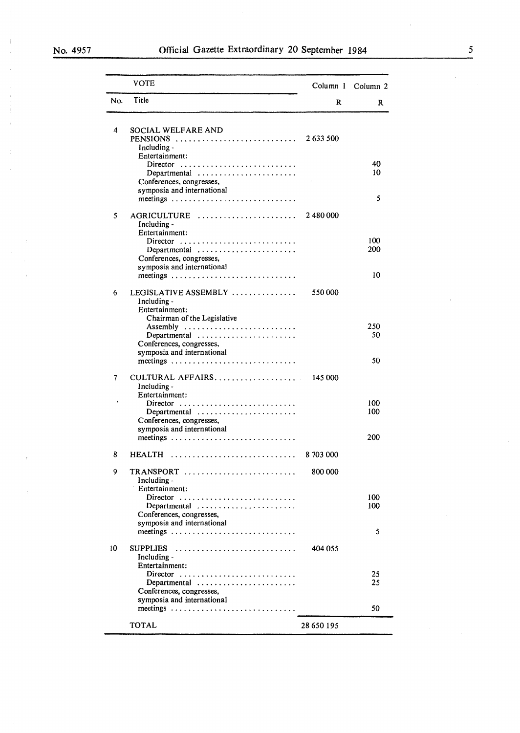$\bar{\phantom{a}}$ 

- 3

|     | VOTE                                                                                                                                             |            | Column 1 Column 2 |
|-----|--------------------------------------------------------------------------------------------------------------------------------------------------|------------|-------------------|
| No. | Title                                                                                                                                            | R          | R                 |
| 4   | SOCIAL WELFARE AND<br>Including -                                                                                                                |            |                   |
|     | Entertainment:<br>Director<br>Departmental $\ldots \ldots \ldots \ldots \ldots \ldots$<br>Conferences, congresses,<br>symposia and international |            | 40<br>10          |
|     |                                                                                                                                                  |            | 5                 |
| 5   | AGRICULTURE<br>Including -<br>Entertainment:                                                                                                     | 2 480 000  |                   |
|     | Director<br>Departmental<br>Conferences, congresses,<br>symposia and international                                                               |            | 100<br>200        |
|     | meetings                                                                                                                                         |            | 10                |
| 6   | LEGISLATIVE ASSEMBLY  550 000<br>Including -<br>Entertainment:<br>Chairman of the Legislative                                                    |            |                   |
|     | Assembly<br>Departmental<br>Conferences, congresses,                                                                                             |            | 250<br>50         |
|     | symposia and international                                                                                                                       |            | 50                |
| 7   | CULTURAL AFFAIRS 145 000<br>Including -<br>Entertainment:                                                                                        |            |                   |
|     | Departmental<br>Conferences, congresses,                                                                                                         |            | 100<br>100        |
|     | symposia and international<br>meetings                                                                                                           |            | 200               |
| 8   | HEALTH                                                                                                                                           | 8 703 000  |                   |
| 9   | $TRANSPORT$<br>Including -<br>Entertainment:                                                                                                     | 800 000    |                   |
|     | Conferences, congresses,<br>symposia and international                                                                                           |            | 100<br>100        |
|     |                                                                                                                                                  |            | 5                 |
| 10  | <b>SUPPLIES</b><br>Including -<br>Entertainment:                                                                                                 | 404 055    |                   |
|     | Departmental<br>Conferences, congresses,<br>symposia and international                                                                           |            | 25<br>25          |
|     |                                                                                                                                                  |            | 50                |
|     | <b>TOTAL</b>                                                                                                                                     | 28 650 195 |                   |

 $\frac{5}{1}$ 

 $\bar{\psi}$